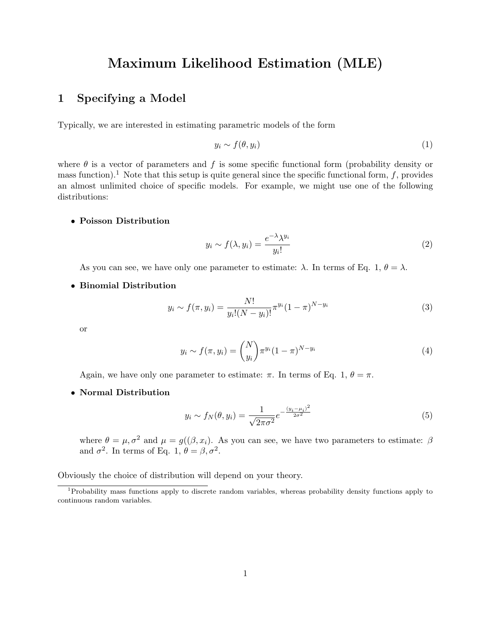# Maximum Likelihood Estimation (MLE)

# 1 Specifying a Model

Typically, we are interested in estimating parametric models of the form

$$
y_i \sim f(\theta, y_i) \tag{1}
$$

where  $\theta$  is a vector of parameters and f is some specific functional form (probability density or mass function).<sup>1</sup> Note that this setup is quite general since the specific functional form, f, provides an almost unlimited choice of specific models. For example, we might use one of the following distributions:

## • Poisson Distribution

$$
y_i \sim f(\lambda, y_i) = \frac{e^{-\lambda} \lambda^{y_i}}{y_i!}
$$
 (2)

As you can see, we have only one parameter to estimate:  $\lambda$ . In terms of Eq. 1,  $\theta = \lambda$ .

#### • Binomial Distribution

$$
y_i \sim f(\pi, y_i) = \frac{N!}{y_i!(N - y_i)!} \pi^{y_i} (1 - \pi)^{N - y_i}
$$
\n(3)

or

$$
y_i \sim f(\pi, y_i) = {N \choose y_i} \pi^{y_i} (1 - \pi)^{N - y_i}
$$
\n
$$
(4)
$$

Again, we have only one parameter to estimate:  $\pi$ . In terms of Eq. 1,  $\theta = \pi$ .

• Normal Distribution

$$
y_i \sim f_N(\theta, y_i) = \frac{1}{\sqrt{2\pi\sigma^2}} e^{-\frac{(y_i - \mu_i)^2}{2\sigma^2}}
$$
(5)

where  $\theta = \mu, \sigma^2$  and  $\mu = g((\beta, x_i))$ . As you can see, we have two parameters to estimate:  $\beta$ and  $\sigma^2$ . In terms of Eq. 1,  $\theta = \beta, \sigma^2$ .

Obviously the choice of distribution will depend on your theory.

<sup>1</sup>Probability mass functions apply to discrete random variables, whereas probability density functions apply to continuous random variables.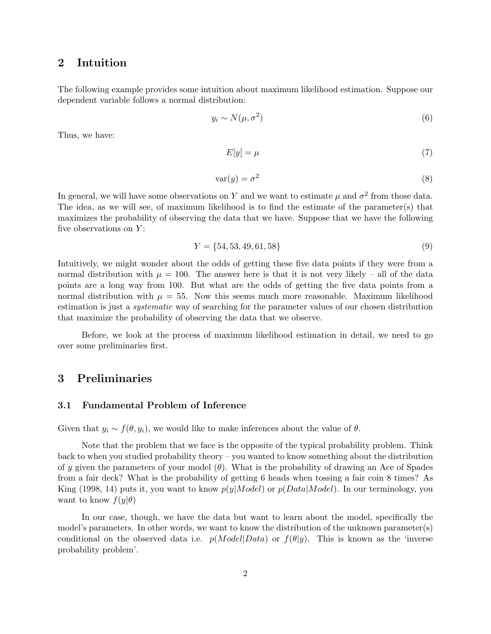## 2 Intuition

The following example provides some intuition about maximum likelihood estimation. Suppose our dependent variable follows a normal distribution:

$$
y_i \sim N(\mu, \sigma^2) \tag{6}
$$

Thus, we have:

$$
E[y] = \mu \tag{7}
$$

$$
var(y) = \sigma^2 \tag{8}
$$

In general, we will have some observations on Y and we want to estimate  $\mu$  and  $\sigma^2$  from those data. The idea, as we will see, of maximum likelihood is to find the estimate of the parameter(s) that maximizes the probability of observing the data that we have. Suppose that we have the following five observations on  $Y$ :

$$
Y = \{54, 53, 49, 61, 58\} \tag{9}
$$

Intuitively, we might wonder about the odds of getting these five data points if they were from a normal distribution with  $\mu = 100$ . The answer here is that it is not very likely – all of the data points are a long way from 100. But what are the odds of getting the five data points from a normal distribution with  $\mu = 55$ . Now this seems much more reasonable. Maximum likelihood estimation is just a systematic way of searching for the parameter values of our chosen distribution that maximize the probability of observing the data that we observe.

Before, we look at the process of maximum likelihood estimation in detail, we need to go over some preliminaries first.

## 3 Preliminaries

### 3.1 Fundamental Problem of Inference

Given that  $y_i \sim f(\theta, y_i)$ , we would like to make inferences about the value of  $\theta$ .

Note that the problem that we face is the opposite of the typical probability problem. Think back to when you studied probability theory – you wanted to know something about the distribution of y given the parameters of your model  $(\theta)$ . What is the probability of drawing an Ace of Spades from a fair deck? What is the probability of getting 6 heads when tossing a fair coin 8 times? As King (1998, 14) puts it, you want to know  $p(y|Model)$  or  $p(Data|Model)$ . In our terminology, you want to know  $f(y|\theta)$ 

In our case, though, we have the data but want to learn about the model, specifically the model's parameters. In other words, we want to know the distribution of the unknown parameter(s) conditional on the observed data i.e.  $p(Model|Data)$  or  $f(\theta|y)$ . This is known as the 'inverse probability problem'.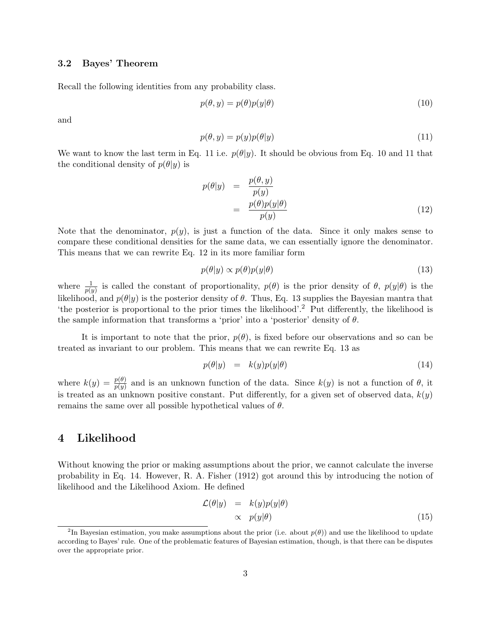## 3.2 Bayes' Theorem

Recall the following identities from any probability class.

$$
p(\theta, y) = p(\theta)p(y|\theta)
$$
\n(10)

and

$$
p(\theta, y) = p(y)p(\theta|y)
$$
\n(11)

We want to know the last term in Eq. 11 i.e.  $p(\theta|y)$ . It should be obvious from Eq. 10 and 11 that the conditional density of  $p(\theta|y)$  is

$$
p(\theta|y) = \frac{p(\theta, y)}{p(y)}
$$
  
= 
$$
\frac{p(\theta)p(y|\theta)}{p(y)}
$$
 (12)

Note that the denominator,  $p(y)$ , is just a function of the data. Since it only makes sense to compare these conditional densities for the same data, we can essentially ignore the denominator. This means that we can rewrite Eq. 12 in its more familiar form

$$
p(\theta|y) \propto p(\theta)p(y|\theta) \tag{13}
$$

where  $\frac{1}{p(y)}$  is called the constant of proportionality,  $p(\theta)$  is the prior density of  $\theta$ ,  $p(y|\theta)$  is the likelihood, and  $p(\theta|y)$  is the posterior density of  $\theta$ . Thus, Eq. 13 supplies the Bayesian mantra that 'the posterior is proportional to the prior times the likelihood'.<sup>2</sup> Put differently, the likelihood is the sample information that transforms a 'prior' into a 'posterior' density of  $\theta$ .

It is important to note that the prior,  $p(\theta)$ , is fixed before our observations and so can be treated as invariant to our problem. This means that we can rewrite Eq. 13 as

$$
p(\theta|y) = k(y)p(y|\theta) \tag{14}
$$

where  $k(y) = \frac{p(\theta)}{p(y)}$  and is an unknown function of the data. Since  $k(y)$  is not a function of  $\theta$ , it is treated as an unknown positive constant. Put differently, for a given set of observed data,  $k(y)$ remains the same over all possible hypothetical values of  $\theta$ .

## 4 Likelihood

Without knowing the prior or making assumptions about the prior, we cannot calculate the inverse probability in Eq. 14. However, R. A. Fisher (1912) got around this by introducing the notion of likelihood and the Likelihood Axiom. He defined

$$
\mathcal{L}(\theta|y) = k(y)p(y|\theta) \n\propto p(y|\theta)
$$
\n(15)

<sup>&</sup>lt;sup>2</sup>In Bayesian estimation, you make assumptions about the prior (i.e. about  $p(\theta)$ ) and use the likelihood to update according to Bayes' rule. One of the problematic features of Bayesian estimation, though, is that there can be disputes over the appropriate prior.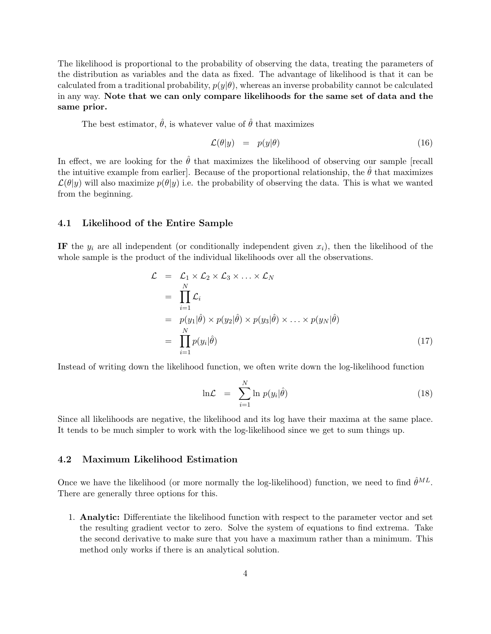The likelihood is proportional to the probability of observing the data, treating the parameters of the distribution as variables and the data as fixed. The advantage of likelihood is that it can be calculated from a traditional probability,  $p(y|\theta)$ , whereas an inverse probability cannot be calculated in any way. Note that we can only compare likelihoods for the same set of data and the same prior.

The best estimator,  $\hat{\theta}$ , is whatever value of  $\hat{\theta}$  that maximizes

$$
\mathcal{L}(\theta|y) = p(y|\theta) \tag{16}
$$

In effect, we are looking for the  $\hat{\theta}$  that maximizes the likelihood of observing our sample [recall the intuitive example from earlier]. Because of the proportional relationship, the  $\hat{\theta}$  that maximizes  $\mathcal{L}(\theta|y)$  will also maximize  $p(\theta|y)$  i.e. the probability of observing the data. This is what we wanted from the beginning.

### 4.1 Likelihood of the Entire Sample

IF the  $y_i$  are all independent (or conditionally independent given  $x_i$ ), then the likelihood of the whole sample is the product of the individual likelihoods over all the observations.

$$
\mathcal{L} = \mathcal{L}_1 \times \mathcal{L}_2 \times \mathcal{L}_3 \times \ldots \times \mathcal{L}_N
$$
\n
$$
= \prod_{i=1}^N \mathcal{L}_i
$$
\n
$$
= p(y_1|\hat{\theta}) \times p(y_2|\hat{\theta}) \times p(y_3|\hat{\theta}) \times \ldots \times p(y_N|\hat{\theta})
$$
\n
$$
= \prod_{i=1}^N p(y_i|\hat{\theta}) \qquad (17)
$$

Instead of writing down the likelihood function, we often write down the log-likelihood function

$$
\ln \mathcal{L} = \sum_{i=1}^{N} \ln p(y_i | \hat{\theta}) \tag{18}
$$

Since all likelihoods are negative, the likelihood and its log have their maxima at the same place. It tends to be much simpler to work with the log-likelihood since we get to sum things up.

## 4.2 Maximum Likelihood Estimation

Once we have the likelihood (or more normally the log-likelihood) function, we need to find  $\hat{\theta}^{ML}$ . There are generally three options for this.

1. Analytic: Differentiate the likelihood function with respect to the parameter vector and set the resulting gradient vector to zero. Solve the system of equations to find extrema. Take the second derivative to make sure that you have a maximum rather than a minimum. This method only works if there is an analytical solution.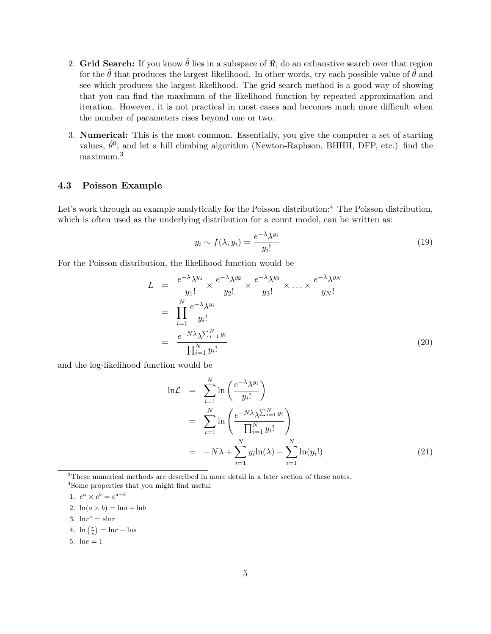- 2. Grid Search: If you know  $\hat{\theta}$  lies in a subspace of  $\Re$ , do an exhaustive search over that region for the  $\hat{\theta}$  that produces the largest likelihood. In other words, try each possible value of  $\hat{\theta}$  and see which produces the largest likelihood. The grid search method is a good way of showing that you can find the maximum of the likelihood function by repeated approximation and iteration. However, it is not practical in most cases and becomes much more difficult when the number of parameters rises beyond one or two.
- 3. Numerical: This is the most common. Essentially, you give the computer a set of starting values,  $\hat{\theta}^0$ , and let a hill climbing algorithm (Newton-Raphson, BHHH, DFP, etc.) find the maximum.<sup>3</sup>

### 4.3 Poisson Example

Let's work through an example analytically for the Poisson distribution:<sup>4</sup> The Poisson distribution, which is often used as the underlying distribution for a count model, can be written as:

$$
y_i \sim f(\lambda, y_i) = \frac{e^{-\lambda} \lambda^{y_i}}{y_i!}
$$
\n(19)

For the Poisson distribution, the likelihood function would be

$$
L = \frac{e^{-\lambda} \lambda^{y_1}}{y_1!} \times \frac{e^{-\lambda} \lambda^{y_2}}{y_2!} \times \frac{e^{-\lambda} \lambda^{y_3}}{y_3!} \times \dots \times \frac{e^{-\lambda} \lambda^{y_N}}{y_N!}
$$
  
\n
$$
= \prod_{i=1}^N \frac{e^{-\lambda} \lambda^{y_i}}{y_i!}
$$
  
\n
$$
= \frac{e^{-N\lambda} \lambda \sum_{i=1}^N y_i}{\prod_{i=1}^N y_i!}
$$
 (20)

and the log-likelihood function would be

$$
\ln \mathcal{L} = \sum_{i=1}^{N} \ln \left( \frac{e^{-\lambda} \lambda^{y_i}}{y_i!} \right)
$$
  
= 
$$
\sum_{i=1}^{N} \ln \left( \frac{e^{-N\lambda} \lambda^{\sum_{i=1}^{N} y_i}}{\prod_{i=1}^{N} y_i!} \right)
$$
  
= 
$$
-N\lambda + \sum_{i=1}^{N} y_i \ln(\lambda) - \sum_{i=1}^{N} \ln(y_i!) \qquad (21)
$$

<sup>3</sup>These numerical methods are described in more detail in a later section of these notes. <sup>4</sup>Some properties that you might find useful:

$$
1. \ e^a \times e^b = e^{a+b}
$$

2.  $ln(a \times b) = ln a + ln b$ 

- 3.  $\ln r^s = s \ln r$
- 4.  $\ln\left(\frac{r}{s}\right)$  $=\ln r - \ln s$
- 5.  $lne = 1$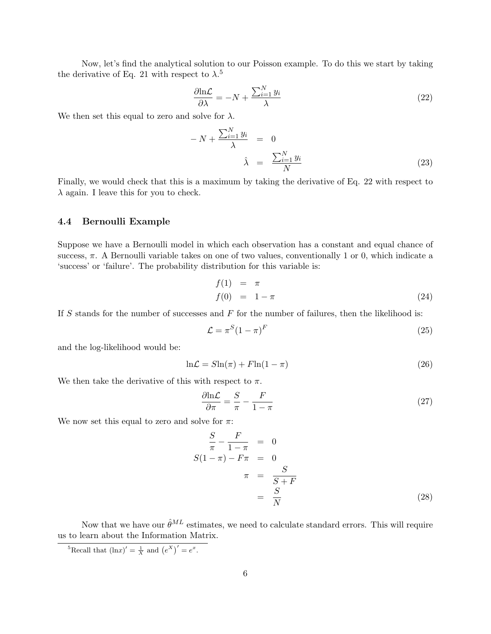Now, let's find the analytical solution to our Poisson example. To do this we start by taking the derivative of Eq. 21 with respect to  $\lambda$ <sup>5</sup>

$$
\frac{\partial \ln \mathcal{L}}{\partial \lambda} = -N + \frac{\sum_{i=1}^{N} y_i}{\lambda} \tag{22}
$$

We then set this equal to zero and solve for  $\lambda$ .

$$
-N + \frac{\sum_{i=1}^{N} y_i}{\lambda} = 0
$$
  

$$
\hat{\lambda} = \frac{\sum_{i=1}^{N} y_i}{N}
$$
 (23)

Finally, we would check that this is a maximum by taking the derivative of Eq. 22 with respect to  $\lambda$  again. I leave this for you to check.

#### 4.4 Bernoulli Example

Suppose we have a Bernoulli model in which each observation has a constant and equal chance of success,  $\pi$ . A Bernoulli variable takes on one of two values, conventionally 1 or 0, which indicate a 'success' or 'failure'. The probability distribution for this variable is:

$$
f(1) = \pi \n f(0) = 1 - \pi
$$
\n(24)

If S stands for the number of successes and  $F$  for the number of failures, then the likelihood is:

$$
\mathcal{L} = \pi^S (1 - \pi)^F \tag{25}
$$

and the log-likelihood would be:

$$
\ln \mathcal{L} = S \ln(\pi) + F \ln(1 - \pi) \tag{26}
$$

We then take the derivative of this with respect to  $\pi$ .

$$
\frac{\partial \text{ln}\mathcal{L}}{\partial \pi} = \frac{S}{\pi} - \frac{F}{1 - \pi} \tag{27}
$$

We now set this equal to zero and solve for  $\pi$ :

$$
\frac{S}{\pi} - \frac{F}{1 - \pi} = 0
$$
  

$$
S(1 - \pi) - F\pi = 0
$$
  

$$
\pi = \frac{S}{S + F}
$$
  

$$
= \frac{S}{N}
$$
 (28)

Now that we have our  $\hat{\theta}^{ML}$  estimates, we need to calculate standard errors. This will require us to learn about the Information Matrix.

<sup>&</sup>lt;sup>5</sup>Recall that  $(\ln x)' = \frac{1}{X}$  and  $(e^X)' = e^x$ .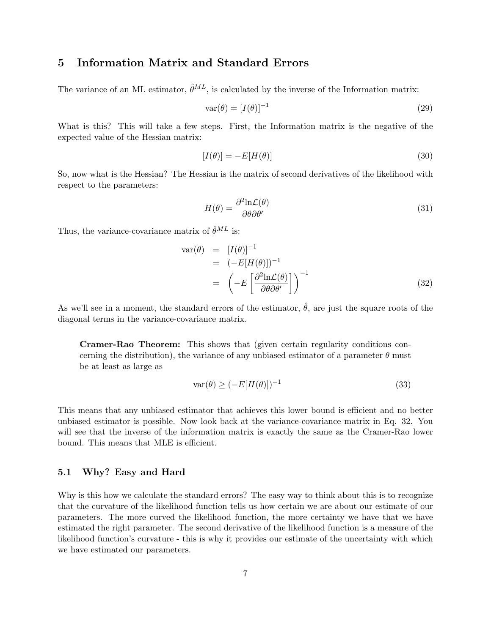## 5 Information Matrix and Standard Errors

The variance of an ML estimator,  $\hat{\theta}^{ML}$ , is calculated by the inverse of the Information matrix:

$$
\text{var}(\theta) = [I(\theta)]^{-1} \tag{29}
$$

What is this? This will take a few steps. First, the Information matrix is the negative of the expected value of the Hessian matrix:

$$
[I(\theta)] = -E[H(\theta)]\tag{30}
$$

So, now what is the Hessian? The Hessian is the matrix of second derivatives of the likelihood with respect to the parameters:

$$
H(\theta) = \frac{\partial^2 \text{ln}\mathcal{L}(\theta)}{\partial \theta \partial \theta'} \tag{31}
$$

Thus, the variance-covariance matrix of  $\hat{\theta}^{ML}$  is:

$$
\begin{aligned}\n\text{var}(\theta) &= [I(\theta)]^{-1} \\
&= (-E[H(\theta)])^{-1} \\
&= \left(-E\left[\frac{\partial^2 \ln \mathcal{L}(\theta)}{\partial \theta \partial \theta'}\right]\right)^{-1}\n\end{aligned} \tag{32}
$$

As we'll see in a moment, the standard errors of the estimator,  $\hat{\theta}$ , are just the square roots of the diagonal terms in the variance-covariance matrix.

Cramer-Rao Theorem: This shows that (given certain regularity conditions concerning the distribution), the variance of any unbiased estimator of a parameter  $\theta$  must be at least as large as

$$
\text{var}(\theta) \ge (-E[H(\theta)])^{-1} \tag{33}
$$

This means that any unbiased estimator that achieves this lower bound is efficient and no better unbiased estimator is possible. Now look back at the variance-covariance matrix in Eq. 32. You will see that the inverse of the information matrix is exactly the same as the Cramer-Rao lower bound. This means that MLE is efficient.

## 5.1 Why? Easy and Hard

Why is this how we calculate the standard errors? The easy way to think about this is to recognize that the curvature of the likelihood function tells us how certain we are about our estimate of our parameters. The more curved the likelihood function, the more certainty we have that we have estimated the right parameter. The second derivative of the likelihood function is a measure of the likelihood function's curvature - this is why it provides our estimate of the uncertainty with which we have estimated our parameters.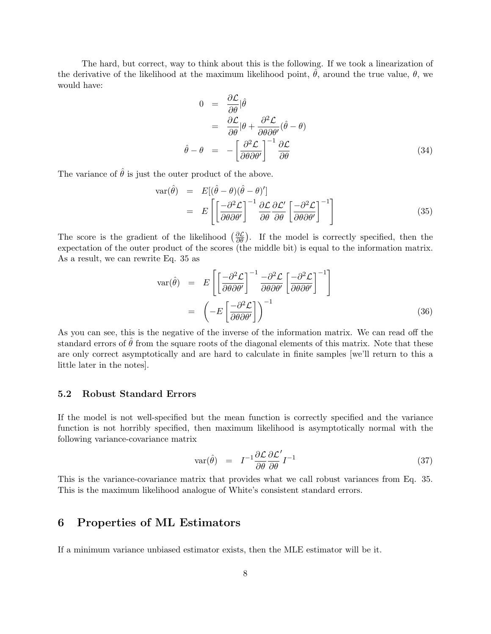The hard, but correct, way to think about this is the following. If we took a linearization of the derivative of the likelihood at the maximum likelihood point,  $\theta$ , around the true value,  $\theta$ , we would have:

$$
0 = \frac{\partial \mathcal{L}}{\partial \theta} | \hat{\theta}
$$
  
=  $\frac{\partial \mathcal{L}}{\partial \theta} | \theta + \frac{\partial^2 \mathcal{L}}{\partial \theta \partial \theta'} (\hat{\theta} - \theta)$   
 $\hat{\theta} - \theta = - \left[ \frac{\partial^2 \mathcal{L}}{\partial \theta \partial \theta'} \right]^{-1} \frac{\partial \mathcal{L}}{\partial \theta}$  (34)

The variance of  $\hat{\theta}$  is just the outer product of the above.

$$
\begin{array}{rcl}\n\text{var}(\hat{\theta}) & = & E[(\hat{\theta} - \theta)(\hat{\theta} - \theta)'] \\
& = & E\left[\left[\frac{-\partial^2 \mathcal{L}}{\partial \theta \partial \theta'}\right]^{-1} \frac{\partial \mathcal{L}}{\partial \theta} \frac{\partial \mathcal{L}'}{\partial \theta} \left[\frac{-\partial^2 \mathcal{L}}{\partial \theta \partial \theta'}\right]^{-1}\right]\n\end{array} \tag{35}
$$

The score is the gradient of the likelihood  $(\frac{\partial \mathcal{L}}{\partial \theta})$ . If the model is correctly specified, then the expectation of the outer product of the scores (the middle bit) is equal to the information matrix. As a result, we can rewrite Eq. 35 as

$$
\text{var}(\hat{\theta}) = E\left[\left(\frac{-\partial^2 \mathcal{L}}{\partial \theta \partial \theta'}\right)^{-1} \frac{-\partial^2 \mathcal{L}}{\partial \theta \partial \theta'} \left[\frac{-\partial^2 \mathcal{L}}{\partial \theta \partial \theta'}\right]^{-1}\right]
$$

$$
= \left(-E\left[\frac{-\partial^2 \mathcal{L}}{\partial \theta \partial \theta'}\right]\right)^{-1} \tag{36}
$$

As you can see, this is the negative of the inverse of the information matrix. We can read off the standard errors of  $\hat{\theta}$  from the square roots of the diagonal elements of this matrix. Note that these are only correct asymptotically and are hard to calculate in finite samples [we'll return to this a little later in the notes].

## 5.2 Robust Standard Errors

If the model is not well-specified but the mean function is correctly specified and the variance function is not horribly specified, then maximum likelihood is asymptotically normal with the following variance-covariance matrix

$$
\text{var}(\hat{\theta}) = I^{-1} \frac{\partial \mathcal{L}}{\partial \theta} \frac{\partial \mathcal{L}'}{\partial \theta} I^{-1}
$$
\n(37)

This is the variance-covariance matrix that provides what we call robust variances from Eq. 35. This is the maximum likelihood analogue of White's consistent standard errors.

## 6 Properties of ML Estimators

If a minimum variance unbiased estimator exists, then the MLE estimator will be it.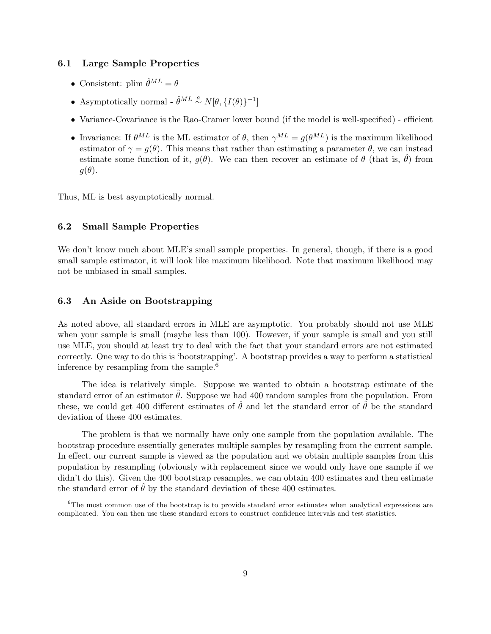## 6.1 Large Sample Properties

- Consistent: plim  $\hat{\theta}^{ML} = \theta$
- Asymptotically normal  $\hat{\theta}^{ML} \stackrel{a}{\sim} N[\theta, \{I(\theta)\}^{-1}]$
- Variance-Covariance is the Rao-Cramer lower bound (if the model is well-specified) efficient
- Invariance: If  $\theta^{ML}$  is the ML estimator of  $\theta$ , then  $\gamma^{ML} = q(\theta^{ML})$  is the maximum likelihood estimator of  $\gamma = g(\theta)$ . This means that rather than estimating a parameter  $\theta$ , we can instead estimate some function of it,  $q(\theta)$ . We can then recover an estimate of  $\theta$  (that is,  $\hat{\theta}$ ) from  $q(\theta)$ .

Thus, ML is best asymptotically normal.

## 6.2 Small Sample Properties

We don't know much about MLE's small sample properties. In general, though, if there is a good small sample estimator, it will look like maximum likelihood. Note that maximum likelihood may not be unbiased in small samples.

## 6.3 An Aside on Bootstrapping

As noted above, all standard errors in MLE are asymptotic. You probably should not use MLE when your sample is small (maybe less than 100). However, if your sample is small and you still use MLE, you should at least try to deal with the fact that your standard errors are not estimated correctly. One way to do this is 'bootstrapping'. A bootstrap provides a way to perform a statistical inference by resampling from the sample.<sup>6</sup>

The idea is relatively simple. Suppose we wanted to obtain a bootstrap estimate of the standard error of an estimator  $\hat{\theta}$ . Suppose we had 400 random samples from the population. From these, we could get 400 different estimates of  $\hat{\theta}$  and let the standard error of  $\hat{\theta}$  be the standard deviation of these 400 estimates.

The problem is that we normally have only one sample from the population available. The bootstrap procedure essentially generates multiple samples by resampling from the current sample. In effect, our current sample is viewed as the population and we obtain multiple samples from this population by resampling (obviously with replacement since we would only have one sample if we didn't do this). Given the 400 bootstrap resamples, we can obtain 400 estimates and then estimate the standard error of  $\hat{\theta}$  by the standard deviation of these 400 estimates.

<sup>&</sup>lt;sup>6</sup>The most common use of the bootstrap is to provide standard error estimates when analytical expressions are complicated. You can then use these standard errors to construct confidence intervals and test statistics.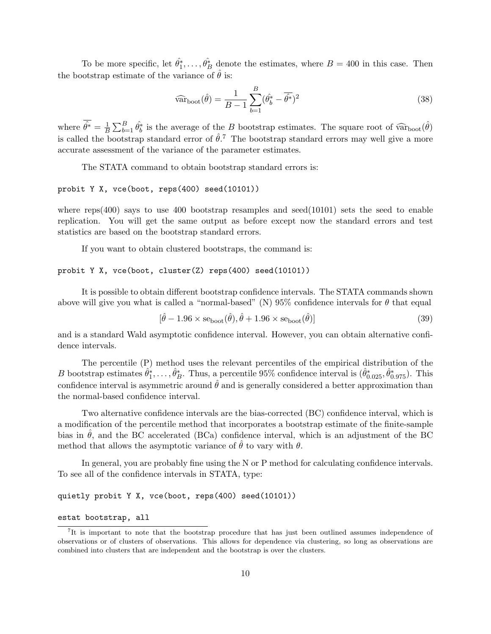To be more specific, let  $\hat{\theta}_1^*, \ldots, \hat{\theta}_B^*$  denote the estimates, where  $B = 400$  in this case. Then the bootstrap estimate of the variance of  $\hat{\theta}$  is:

$$
\widehat{\text{var}}_{\text{boot}}(\hat{\theta}) = \frac{1}{B - 1} \sum_{b=1}^{B} (\hat{\theta}_b^* - \overline{\hat{\theta}^*})^2
$$
\n(38)

where  $\hat{\theta^*} = \frac{1}{B}$ B  $\bigtriangledown B$  $B_{b=1}^B \hat{\theta}_b^*$  is the average of the B bootstrap estimates. The square root of  $\widehat{\text{var}}_{\text{boot}}(\hat{\theta})$ is called the bootstrap standard error of  $\hat{\theta}$ .<sup>7</sup> The bootstrap standard errors may well give a more accurate assessment of the variance of the parameter estimates.

The STATA command to obtain bootstrap standard errors is:

### probit Y X, vce(boot, reps(400) seed(10101))

where  $r\text{eps}(400)$  says to use 400 bootstrap resamples and seed $(10101)$  sets the seed to enable replication. You will get the same output as before except now the standard errors and test statistics are based on the bootstrap standard errors.

If you want to obtain clustered bootstraps, the command is:

#### probit Y X, vce(boot, cluster(Z) reps(400) seed(10101))

It is possible to obtain different bootstrap confidence intervals. The STATA commands shown above will give you what is called a "normal-based" (N) 95% confidence intervals for  $\theta$  that equal

$$
[\hat{\theta} - 1.96 \times \text{se}_{\text{boot}}(\hat{\theta}), \hat{\theta} + 1.96 \times \text{se}_{\text{boot}}(\hat{\theta})]
$$
\n(39)

and is a standard Wald asymptotic confidence interval. However, you can obtain alternative confidence intervals.

The percentile (P) method uses the relevant percentiles of the empirical distribution of the B bootstrap estimates  $\hat{\theta}_1^*, \ldots, \hat{\theta}_B^*$ . Thus, a percentile 95% confidence interval is  $(\hat{\theta}_{0.025}^*, \hat{\theta}_{0.975}^*)$ . This confidence interval is asymmetric around  $\hat{\theta}$  and is generally considered a better approximation than the normal-based confidence interval.

Two alternative confidence intervals are the bias-corrected (BC) confidence interval, which is a modification of the percentile method that incorporates a bootstrap estimate of the finite-sample bias in  $\hat{\theta}$ , and the BC accelerated (BCa) confidence interval, which is an adjustment of the BC method that allows the asymptotic variance of  $\hat{\theta}$  to vary with  $\theta$ .

In general, you are probably fine using the N or P method for calculating confidence intervals. To see all of the confidence intervals in STATA, type:

#### quietly probit Y X, vce(boot, reps(400) seed(10101))

#### estat bootstrap, all

<sup>&</sup>lt;sup>7</sup>It is important to note that the bootstrap procedure that has just been outlined assumes independence of observations or of clusters of observations. This allows for dependence via clustering, so long as observations are combined into clusters that are independent and the bootstrap is over the clusters.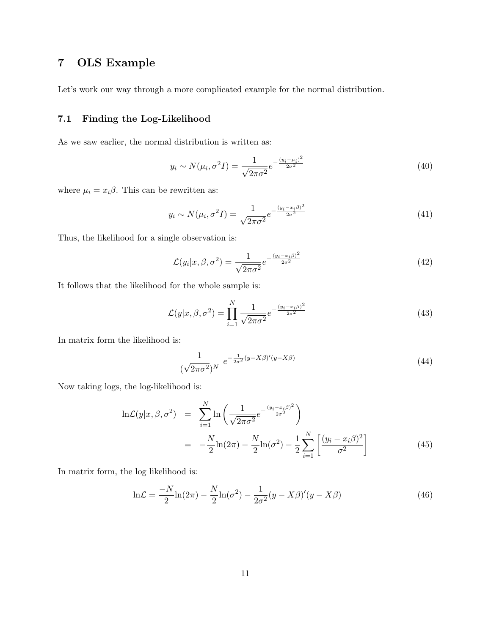# 7 OLS Example

Let's work our way through a more complicated example for the normal distribution.

## 7.1 Finding the Log-Likelihood

As we saw earlier, the normal distribution is written as:

$$
y_i \sim N(\mu_i, \sigma^2 I) = \frac{1}{\sqrt{2\pi\sigma^2}} e^{-\frac{(y_i - \mu_i)^2}{2\sigma^2}}
$$
(40)

where  $\mu_i = x_i \beta$ . This can be rewritten as:

$$
y_i \sim N(\mu_i, \sigma^2 I) = \frac{1}{\sqrt{2\pi\sigma^2}} e^{-\frac{(y_i - x_i\beta)^2}{2\sigma^2}}
$$
(41)

Thus, the likelihood for a single observation is:

$$
\mathcal{L}(y_i|x,\beta,\sigma^2) = \frac{1}{\sqrt{2\pi\sigma^2}}e^{-\frac{(y_i - x_i\beta)^2}{2\sigma^2}}\tag{42}
$$

It follows that the likelihood for the whole sample is:

$$
\mathcal{L}(y|x,\beta,\sigma^2) = \prod_{i=1}^{N} \frac{1}{\sqrt{2\pi\sigma^2}} e^{-\frac{(y_i - x_i\beta)^2}{2\sigma^2}}
$$
(43)

In matrix form the likelihood is:

$$
\frac{1}{(\sqrt{2\pi\sigma^2})^N} e^{-\frac{1}{2\sigma^2}(y-X\beta)'(y-X\beta)} \tag{44}
$$

Now taking logs, the log-likelihood is:

$$
\ln \mathcal{L}(y|x, \beta, \sigma^2) = \sum_{i=1}^{N} \ln \left( \frac{1}{\sqrt{2\pi\sigma^2}} e^{-\frac{(y_i - x_i\beta)^2}{2\sigma^2}} \right)
$$
  
= 
$$
-\frac{N}{2} \ln(2\pi) - \frac{N}{2} \ln(\sigma^2) - \frac{1}{2} \sum_{i=1}^{N} \left[ \frac{(y_i - x_i\beta)^2}{\sigma^2} \right]
$$
(45)

In matrix form, the log likelihood is:

$$
\ln \mathcal{L} = \frac{-N}{2} \ln(2\pi) - \frac{N}{2} \ln(\sigma^2) - \frac{1}{2\sigma^2} (y - X\beta)'(y - X\beta)
$$
 (46)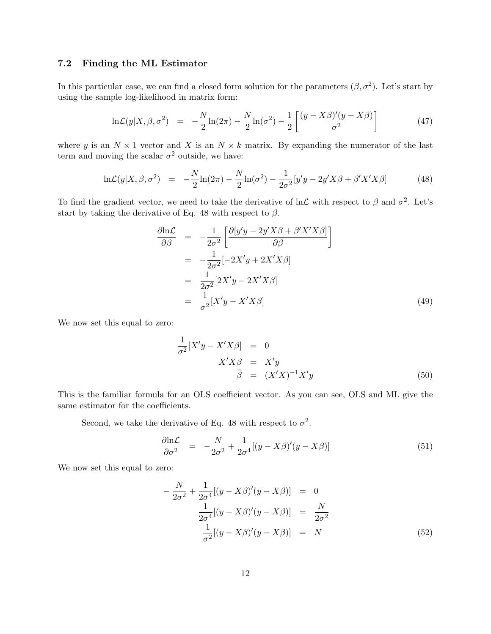## 7.2 Finding the ML Estimator

In this particular case, we can find a closed form solution for the parameters  $(\beta, \sigma^2)$ . Let's start by using the sample log-likelihood in matrix form:

$$
\ln \mathcal{L}(y|X,\beta,\sigma^2) = -\frac{N}{2}\ln(2\pi) - \frac{N}{2}\ln(\sigma^2) - \frac{1}{2}\left[\frac{(y-X\beta)'(y-X\beta)}{\sigma^2}\right]
$$
(47)

where y is an  $N \times 1$  vector and X is an  $N \times k$  matrix. By expanding the numerator of the last term and moving the scalar  $\sigma^2$  outside, we have:

$$
\ln \mathcal{L}(y|X,\beta,\sigma^2) = -\frac{N}{2}\ln(2\pi) - \frac{N}{2}\ln(\sigma^2) - \frac{1}{2\sigma^2}[y'y - 2y'X\beta + \beta'X'X\beta]
$$
(48)

To find the gradient vector, we need to take the derivative of  $\ln \mathcal{L}$  with respect to  $\beta$  and  $\sigma^2$ . Let's start by taking the derivative of Eq. 48 with respect to  $\beta$ .

$$
\frac{\partial \ln \mathcal{L}}{\partial \beta} = -\frac{1}{2\sigma^2} \left[ \frac{\partial [y'y - 2y'X\beta + \beta'X'X\beta]}{\partial \beta} \right]
$$
  
\n
$$
= -\frac{1}{2\sigma^2} [-2X'y + 2X'X\beta]
$$
  
\n
$$
= \frac{1}{2\sigma^2} [2X'y - 2X'X\beta]
$$
  
\n
$$
= \frac{1}{\sigma^2} [X'y - X'X\beta]
$$
 (49)

We now set this equal to zero:

$$
\frac{1}{\sigma^2} [X'y - X'X\beta] = 0
$$
  

$$
X'X\beta = X'y
$$
  

$$
\hat{\beta} = (X'X)^{-1}X'y
$$
 (50)

This is the familiar formula for an OLS coefficient vector. As you can see, OLS and ML give the same estimator for the coefficients.

Second, we take the derivative of Eq. 48 with respect to  $\sigma^2$ .

$$
\frac{\partial \ln \mathcal{L}}{\partial \sigma^2} = -\frac{N}{2\sigma^2} + \frac{1}{2\sigma^4} [(y - X\beta)'(y - X\beta)] \tag{51}
$$

We now set this equal to zero:

$$
-\frac{N}{2\sigma^2} + \frac{1}{2\sigma^4} [(y - X\beta)'(y - X\beta)] = 0
$$
  

$$
\frac{1}{2\sigma^4} [(y - X\beta)'(y - X\beta)] = \frac{N}{2\sigma^2}
$$
  

$$
\frac{1}{\sigma^2} [(y - X\beta)'(y - X\beta)] = N
$$
 (52)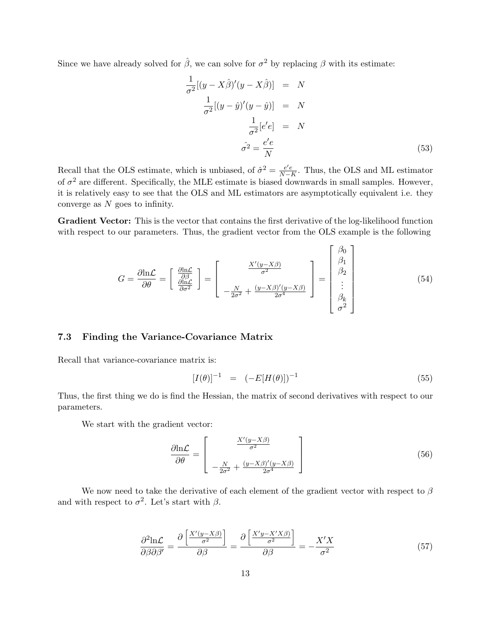Since we have already solved for  $\hat{\beta}$ , we can solve for  $\sigma^2$  by replacing  $\beta$  with its estimate:

$$
\frac{1}{\sigma^2}[(y - X\hat{\beta})'(y - X\hat{\beta})] = N
$$

$$
\frac{1}{\sigma^2}[(y - \hat{y})'(y - \hat{y})] = N
$$

$$
\frac{1}{\sigma^2}[e'e] = N
$$

$$
\hat{\sigma^2} = \frac{e'e}{N}
$$
(53)

Recall that the OLS estimate, which is unbiased, of  $\hat{\sigma}^2 = \frac{e^{\prime}e}{N-1}$  $\frac{e'e}{N-K}$ . Thus, the OLS and ML estimator of  $\sigma^2$  are different. Specifically, the MLE estimate is biased downwards in small samples. However, it is relatively easy to see that the OLS and ML estimators are asymptotically equivalent i.e. they converge as N goes to infinity.

Gradient Vector: This is the vector that contains the first derivative of the log-likelihood function with respect to our parameters. Thus, the gradient vector from the OLS example is the following

$$
G = \frac{\partial \ln \mathcal{L}}{\partial \theta} = \begin{bmatrix} \frac{\partial \ln \mathcal{L}}{\partial \beta} \\ \frac{\partial \ln \mathcal{L}}{\partial \sigma^2} \end{bmatrix} = \begin{bmatrix} \frac{X'(y - X\beta)}{\sigma^2} \\ -\frac{N}{2\sigma^2} + \frac{(y - X\beta)'(y - X\beta)}{2\sigma^4} \end{bmatrix} = \begin{bmatrix} \beta_0 \\ \beta_1 \\ \vdots \\ \beta_k \\ \sigma^2 \end{bmatrix}
$$
(54)

## 7.3 Finding the Variance-Covariance Matrix

Recall that variance-covariance matrix is:

$$
[I(\theta)]^{-1} = (-E[H(\theta)])^{-1}
$$
\n(55)

Thus, the first thing we do is find the Hessian, the matrix of second derivatives with respect to our parameters.

We start with the gradient vector:

$$
\frac{\partial \ln \mathcal{L}}{\partial \theta} = \begin{bmatrix} \frac{X'(y - X\beta)}{\sigma^2} \\ -\frac{N}{2\sigma^2} + \frac{(y - X\beta)'(y - X\beta)}{2\sigma^4} \end{bmatrix}
$$
(56)

We now need to take the derivative of each element of the gradient vector with respect to  $\beta$ and with respect to  $\sigma^2$ . Let's start with  $\beta$ .

$$
\frac{\partial^2 \text{ln}\mathcal{L}}{\partial \beta \partial \beta'} = \frac{\partial \left[ \frac{X'(y - X\beta)}{\sigma^2} \right]}{\partial \beta} = \frac{\partial \left[ \frac{X'y - X'X\beta}{\sigma^2} \right]}{\partial \beta} = -\frac{X'X}{\sigma^2}
$$
(57)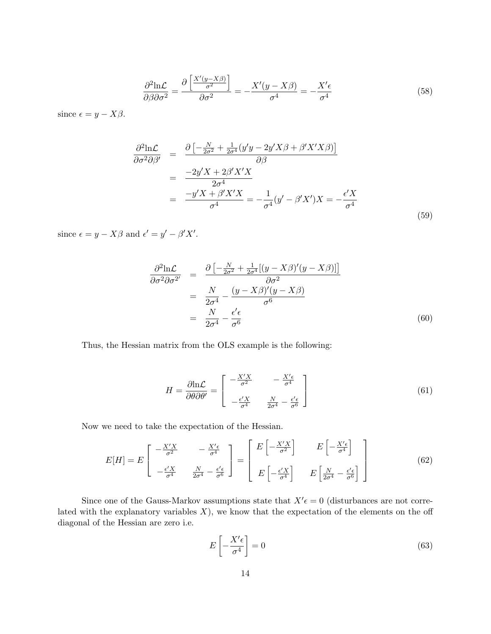$$
\frac{\partial^2 \text{ln}\mathcal{L}}{\partial \beta \partial \sigma^2} = \frac{\partial \left[ \frac{X'(y - X\beta)}{\sigma^2} \right]}{\partial \sigma^2} = -\frac{X'(y - X\beta)}{\sigma^4} = -\frac{X'\epsilon}{\sigma^4} \tag{58}
$$

since  $\epsilon = y - X\beta$ .

$$
\frac{\partial^2 \text{ln}\mathcal{L}}{\partial \sigma^2 \partial \beta'} = \frac{\partial \left[ -\frac{N}{2\sigma^2} + \frac{1}{2\sigma^4} (y'y - 2y'X\beta + \beta'X'X\beta) \right]}{\partial \beta}
$$

$$
= \frac{-2y'X + 2\beta'X'X}{2\sigma^4}
$$

$$
= \frac{-y'X + \beta'X'X}{\sigma^4} = -\frac{1}{\sigma^4} (y' - \beta'X')X = -\frac{\epsilon'X}{\sigma^4}
$$
(59)

since  $\epsilon = y - X\beta$  and  $\epsilon' = y' - \beta'X'$ .

$$
\frac{\partial^2 \ln \mathcal{L}}{\partial \sigma^2 \partial \sigma^{2'}} = \frac{\partial \left[ -\frac{N}{2\sigma^2} + \frac{1}{2\sigma^4} [(y - X\beta)'(y - X\beta)] \right]}{\partial \sigma^2}
$$

$$
= \frac{N}{2\sigma^4} - \frac{(y - X\beta)'(y - X\beta)}{\sigma^6}
$$

$$
= \frac{N}{2\sigma^4} - \frac{\epsilon'\epsilon}{\sigma^6}
$$
(60)

Thus, the Hessian matrix from the OLS example is the following:

$$
H = \frac{\partial \ln \mathcal{L}}{\partial \theta \partial \theta'} = \begin{bmatrix} -\frac{X'X}{\sigma^2} & -\frac{X'\epsilon}{\sigma^4} \\ -\frac{\epsilon'X}{\sigma^4} & \frac{N}{2\sigma^4} - \frac{\epsilon'\epsilon}{\sigma^6} \end{bmatrix}
$$
(61)

Now we need to take the expectation of the Hessian.

$$
E[H] = E\begin{bmatrix} -\frac{X'X}{\sigma^2} & -\frac{X'\epsilon}{\sigma^4} \\ -\frac{\epsilon'X}{\sigma^4} & \frac{N}{2\sigma^4} - \frac{\epsilon'\epsilon}{\sigma^6} \end{bmatrix} = \begin{bmatrix} E\left[-\frac{X'X}{\sigma^2}\right] & E\left[-\frac{X'\epsilon}{\sigma^4}\right] \\ E\left[-\frac{\epsilon'X}{\sigma^4}\right] & E\left[\frac{N}{2\sigma^4} - \frac{\epsilon'\epsilon}{\sigma^6}\right] \end{bmatrix}
$$
(62)

Since one of the Gauss-Markov assumptions state that  $X' \epsilon = 0$  (disturbances are not correlated with the explanatory variables  $X$ ), we know that the expectation of the elements on the off diagonal of the Hessian are zero i.e.

$$
E\left[-\frac{X'\epsilon}{\sigma^4}\right] = 0\tag{63}
$$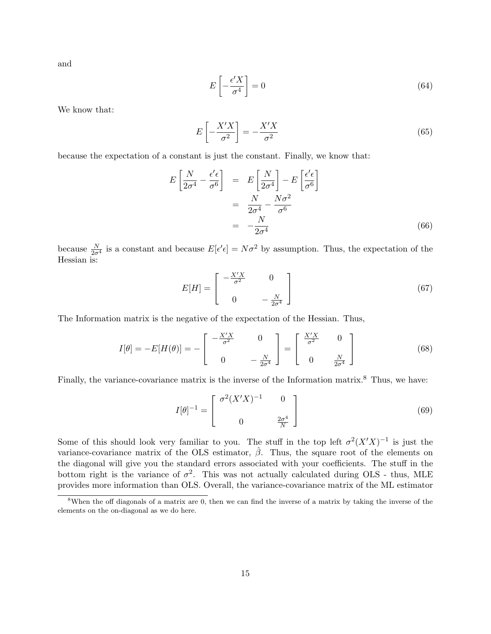and

$$
E\left[-\frac{\epsilon'X}{\sigma^4}\right] = 0\tag{64}
$$

We know that:

$$
E\left[-\frac{X'X}{\sigma^2}\right] = -\frac{X'X}{\sigma^2} \tag{65}
$$

because the expectation of a constant is just the constant. Finally, we know that:

$$
E\left[\frac{N}{2\sigma^4} - \frac{\epsilon'\epsilon}{\sigma^6}\right] = E\left[\frac{N}{2\sigma^4}\right] - E\left[\frac{\epsilon'\epsilon}{\sigma^6}\right]
$$

$$
= \frac{N}{2\sigma^4} - \frac{N\sigma^2}{\sigma^6}
$$

$$
= -\frac{N}{2\sigma^4}
$$
(66)

because  $\frac{N}{2\sigma^4}$  is a constant and because  $E[\epsilon'\epsilon] = N\sigma^2$  by assumption. Thus, the expectation of the Hessian is:

$$
E[H] = \begin{bmatrix} -\frac{X'X}{\sigma^2} & 0\\ 0 & -\frac{N}{2\sigma^4} \end{bmatrix}
$$
 (67)

The Information matrix is the negative of the expectation of the Hessian. Thus,

$$
I[\theta] = -E[H(\theta)] = -\begin{bmatrix} -\frac{X'X}{\sigma^2} & 0\\ 0 & -\frac{N}{2\sigma^4} \end{bmatrix} = \begin{bmatrix} \frac{X'X}{\sigma^2} & 0\\ 0 & \frac{N}{2\sigma^4} \end{bmatrix}
$$
(68)

Finally, the variance-covariance matrix is the inverse of the Information matrix.<sup>8</sup> Thus, we have:

$$
I[\theta]^{-1} = \begin{bmatrix} \sigma^2 (X'X)^{-1} & 0\\ 0 & \frac{2\sigma^4}{N} \end{bmatrix}
$$
 (69)

Some of this should look very familiar to you. The stuff in the top left  $\sigma^2(X'X)^{-1}$  is just the variance-covariance matrix of the OLS estimator,  $\hat{\beta}$ . Thus, the square root of the elements on the diagonal will give you the standard errors associated with your coefficients. The stuff in the bottom right is the variance of  $\sigma^2$ . This was not actually calculated during OLS - thus, MLE provides more information than OLS. Overall, the variance-covariance matrix of the ML estimator

<sup>8</sup>When the off diagonals of a matrix are 0, then we can find the inverse of a matrix by taking the inverse of the elements on the on-diagonal as we do here.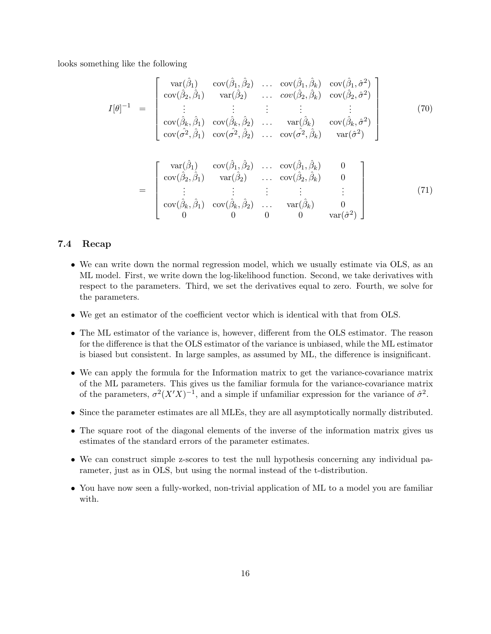looks something like the following

$$
I[\theta]^{-1} = \begin{bmatrix} \n\operatorname{var}(\hat{\beta}_1) & \operatorname{cov}(\hat{\beta}_1, \hat{\beta}_2) & \dots & \operatorname{cov}(\hat{\beta}_1, \hat{\beta}_k) & \operatorname{cov}(\hat{\beta}_1, \hat{\sigma}^2) \\
\operatorname{cov}(\hat{\beta}_2, \hat{\beta}_1) & \operatorname{var}(\hat{\beta}_2) & \dots & \operatorname{cov}(\hat{\beta}_2, \hat{\beta}_k) & \operatorname{cov}(\hat{\beta}_2, \hat{\sigma}^2) \\
\vdots & \vdots & \vdots & \vdots & \vdots \\
\operatorname{cov}(\hat{\beta}_k, \hat{\beta}_1) & \operatorname{cov}(\hat{\beta}_k, \hat{\beta}_2) & \dots & \operatorname{var}(\hat{\beta}_k) & \operatorname{cov}(\hat{\beta}_k, \hat{\sigma}^2) \\
\operatorname{cov}(\hat{\sigma}^2, \hat{\beta}_1) & \operatorname{cov}(\hat{\sigma}^2, \hat{\beta}_2) & \dots & \operatorname{cov}(\hat{\sigma}^2, \hat{\beta}_k) & \operatorname{var}(\hat{\sigma}^2)\n\end{bmatrix}
$$
(70)

$$
= \begin{bmatrix} \n\text{var}(\hat{\beta}_1) & \text{cov}(\hat{\beta}_1, \hat{\beta}_2) & \dots & \text{cov}(\hat{\beta}_1, \hat{\beta}_k) & 0 \\
\text{cov}(\hat{\beta}_2, \hat{\beta}_1) & \text{var}(\hat{\beta}_2) & \dots & \text{cov}(\hat{\beta}_2, \hat{\beta}_k) & 0 \\
\vdots & \vdots & \vdots & \vdots & \vdots \\
\text{cov}(\hat{\beta}_k, \hat{\beta}_1) & \text{cov}(\hat{\beta}_k, \hat{\beta}_2) & \dots & \text{var}(\hat{\beta}_k) & 0 \\
0 & 0 & 0 & 0 & \text{var}(\hat{\sigma}^2)\n\end{bmatrix} \tag{71}
$$

## 7.4 Recap

- We can write down the normal regression model, which we usually estimate via OLS, as an ML model. First, we write down the log-likelihood function. Second, we take derivatives with respect to the parameters. Third, we set the derivatives equal to zero. Fourth, we solve for the parameters.
- We get an estimator of the coefficient vector which is identical with that from OLS.
- The ML estimator of the variance is, however, different from the OLS estimator. The reason for the difference is that the OLS estimator of the variance is unbiased, while the ML estimator is biased but consistent. In large samples, as assumed by ML, the difference is insignificant.
- We can apply the formula for the Information matrix to get the variance-covariance matrix of the ML parameters. This gives us the familiar formula for the variance-covariance matrix of the parameters,  $\sigma^2 (X'X)^{-1}$ , and a simple if unfamiliar expression for the variance of  $\hat{\sigma}^2$ .
- Since the parameter estimates are all MLEs, they are all asymptotically normally distributed.
- The square root of the diagonal elements of the inverse of the information matrix gives us estimates of the standard errors of the parameter estimates.
- We can construct simple z-scores to test the null hypothesis concerning any individual parameter, just as in OLS, but using the normal instead of the t-distribution.
- You have now seen a fully-worked, non-trivial application of ML to a model you are familiar with.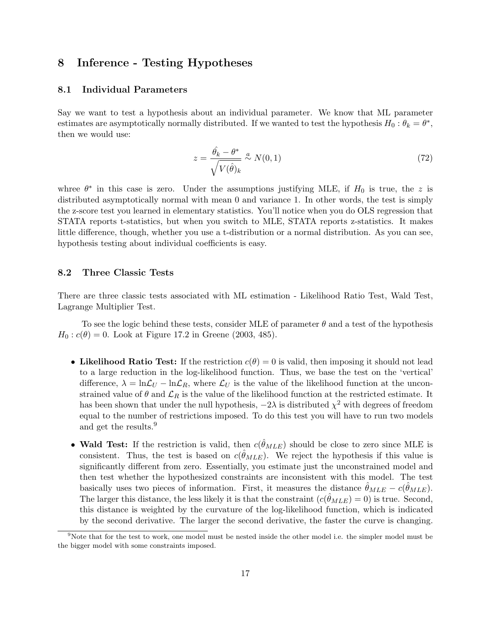## 8 Inference - Testing Hypotheses

## 8.1 Individual Parameters

Say we want to test a hypothesis about an individual parameter. We know that ML parameter estimates are asymptotically normally distributed. If we wanted to test the hypothesis  $H_0: \theta_k = \theta^*$ , then we would use:

$$
z = \frac{\hat{\theta_k} - \theta^*}{\sqrt{V(\hat{\theta})_k}} \stackrel{a}{\sim} N(0, 1) \tag{72}
$$

whree  $\theta^*$  in this case is zero. Under the assumptions justifying MLE, if  $H_0$  is true, the z is distributed asymptotically normal with mean 0 and variance 1. In other words, the test is simply the z-score test you learned in elementary statistics. You'll notice when you do OLS regression that STATA reports t-statistics, but when you switch to MLE, STATA reports z-statistics. It makes little difference, though, whether you use a t-distribution or a normal distribution. As you can see, hypothesis testing about individual coefficients is easy.

## 8.2 Three Classic Tests

There are three classic tests associated with ML estimation - Likelihood Ratio Test, Wald Test, Lagrange Multiplier Test.

To see the logic behind these tests, consider MLE of parameter  $\theta$  and a test of the hypothesis  $H_0$ :  $c(\theta) = 0$ . Look at Figure 17.2 in Greene (2003, 485).

- Likelihood Ratio Test: If the restriction  $c(\theta) = 0$  is valid, then imposing it should not lead to a large reduction in the log-likelihood function. Thus, we base the test on the 'vertical' difference,  $\lambda = \ln \mathcal{L}_U - \ln \mathcal{L}_R$ , where  $\mathcal{L}_U$  is the value of the likelihood function at the unconstrained value of  $\theta$  and  $\mathcal{L}_R$  is the value of the likelihood function at the restricted estimate. It has been shown that under the null hypothesis,  $-2\lambda$  is distributed  $\chi^2$  with degrees of freedom equal to the number of restrictions imposed. To do this test you will have to run two models and get the results.<sup>9</sup>
- Wald Test: If the restriction is valid, then  $c(\hat{\theta}_{MLE})$  should be close to zero since MLE is consistent. Thus, the test is based on  $c(\hat{\theta}_{MLE})$ . We reject the hypothesis if this value is significantly different from zero. Essentially, you estimate just the unconstrained model and then test whether the hypothesized constraints are inconsistent with this model. The test basically uses two pieces of information. First, it measures the distance  $\hat{\theta}_{MLE} - c(\hat{\theta}_{MLE})$ . The larger this distance, the less likely it is that the constraint  $(c(\hat{\theta}_{MLE}) = 0)$  is true. Second, this distance is weighted by the curvature of the log-likelihood function, which is indicated by the second derivative. The larger the second derivative, the faster the curve is changing.

<sup>&</sup>lt;sup>9</sup>Note that for the test to work, one model must be nested inside the other model i.e. the simpler model must be the bigger model with some constraints imposed.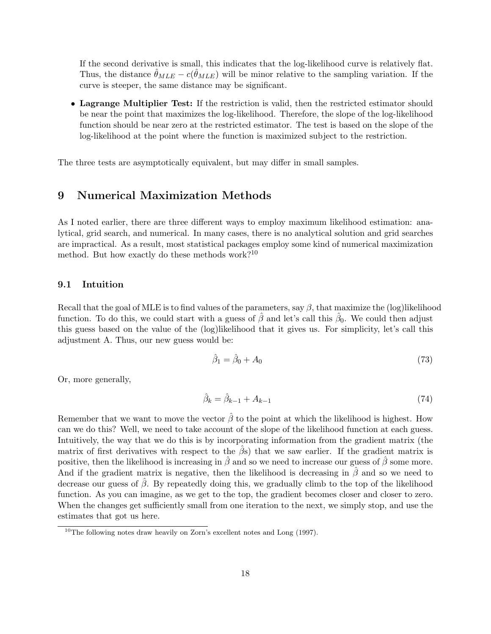If the second derivative is small, this indicates that the log-likelihood curve is relatively flat. Thus, the distance  $\hat{\theta}_{MLE} - c(\hat{\theta}_{MLE})$  will be minor relative to the sampling variation. If the curve is steeper, the same distance may be significant.

• Lagrange Multiplier Test: If the restriction is valid, then the restricted estimator should be near the point that maximizes the log-likelihood. Therefore, the slope of the log-likelihood function should be near zero at the restricted estimator. The test is based on the slope of the log-likelihood at the point where the function is maximized subject to the restriction.

The three tests are asymptotically equivalent, but may differ in small samples.

## 9 Numerical Maximization Methods

As I noted earlier, there are three different ways to employ maximum likelihood estimation: analytical, grid search, and numerical. In many cases, there is no analytical solution and grid searches are impractical. As a result, most statistical packages employ some kind of numerical maximization method. But how exactly do these methods work?<sup>10</sup>

### 9.1 Intuition

Recall that the goal of MLE is to find values of the parameters, say  $\beta$ , that maximize the (log)likelihood function. To do this, we could start with a guess of  $\hat{\beta}$  and let's call this  $\hat{\beta}_0$ . We could then adjust this guess based on the value of the (log)likelihood that it gives us. For simplicity, let's call this adjustment A. Thus, our new guess would be:

$$
\hat{\beta}_1 = \hat{\beta}_0 + A_0 \tag{73}
$$

Or, more generally,

$$
\hat{\beta}_k = \hat{\beta}_{k-1} + A_{k-1} \tag{74}
$$

Remember that we want to move the vector  $\hat{\beta}$  to the point at which the likelihood is highest. How can we do this? Well, we need to take account of the slope of the likelihood function at each guess. Intuitively, the way that we do this is by incorporating information from the gradient matrix (the matrix of first derivatives with respect to the  $\hat{\beta}$ s) that we saw earlier. If the gradient matrix is positive, then the likelihood is increasing in  $\hat{\beta}$  and so we need to increase our guess of  $\hat{\beta}$  some more. And if the gradient matrix is negative, then the likelihood is decreasing in  $\hat{\beta}$  and so we need to decrease our guess of  $\beta$ . By repeatedly doing this, we gradually climb to the top of the likelihood function. As you can imagine, as we get to the top, the gradient becomes closer and closer to zero. When the changes get sufficiently small from one iteration to the next, we simply stop, and use the estimates that got us here.

<sup>&</sup>lt;sup>10</sup>The following notes draw heavily on Zorn's excellent notes and Long  $(1997)$ .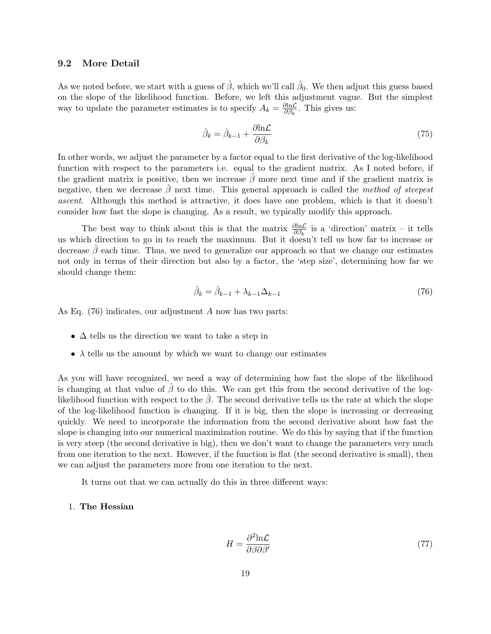### 9.2 More Detail

As we noted before, we start with a guess of  $\hat{\beta}$ , which we'll call  $\hat{\beta}_0$ . We then adjust this guess based on the slope of the likelihood function. Before, we left this adjustment vague. But the simplest way to update the parameter estimates is to specify  $A_k = \frac{\partial \ln \mathcal{L}}{\partial \beta_k}$  $\frac{\partial \ln \mathcal{L}}{\partial \beta_k}$ . This gives us:

$$
\hat{\beta}_k = \hat{\beta}_{k-1} + \frac{\partial \ln \mathcal{L}}{\partial \beta_k} \tag{75}
$$

In other words, we adjust the parameter by a factor equal to the first derivative of the log-likelihood function with respect to the parameters i.e. equal to the gradient matrix. As I noted before, if the gradient matrix is positive, then we increase  $\hat{\beta}$  more next time and if the gradient matrix is negative, then we decrease  $\hat{\beta}$  next time. This general approach is called the method of steepest ascent. Although this method is attractive, it does have one problem, which is that it doesn't consider how fast the slope is changing. As a result, we typically modify this approach.

The best way to think about this is that the matrix  $\frac{\partial \ln \mathcal{L}}{\partial \beta_k}$  is a 'direction' matrix – it tells us which direction to go in to reach the maximum. But it doesn't tell us how far to increase or decrease  $\beta$  each time. Thus, we need to generalize our approach so that we change our estimates not only in terms of their direction but also by a factor, the 'step size', determining how far we should change them:

$$
\hat{\beta}_k = \hat{\beta}_{k-1} + \lambda_{k-1} \Delta_{k-1} \tag{76}
$$

As Eq. (76) indicates, our adjustment A now has two parts:

- $\Delta$  tells us the direction we want to take a step in
- $\lambda$  tells us the amount by which we want to change our estimates

As you will have recognized, we need a way of determining how fast the slope of the likelihood is changing at that value of  $\beta$  to do this. We can get this from the second derivative of the loglikelihood function with respect to the  $\hat{\beta}$ . The second derivative tells us the rate at which the slope of the log-likelihood function is changing. If it is big, then the slope is increasing or decreasing quickly. We need to incorporate the information from the second derivative about how fast the slope is changing into our numerical maximization routine. We do this by saying that if the function is very steep (the second derivative is big), then we don't want to change the parameters very much from one iteration to the next. However, if the function is flat (the second derivative is small), then we can adjust the parameters more from one iteration to the next.

It turns out that we can actually do this in three different ways:

#### 1. The Hessian

$$
H = \frac{\partial^2 \text{ln} \mathcal{L}}{\partial \beta \partial \beta'} \tag{77}
$$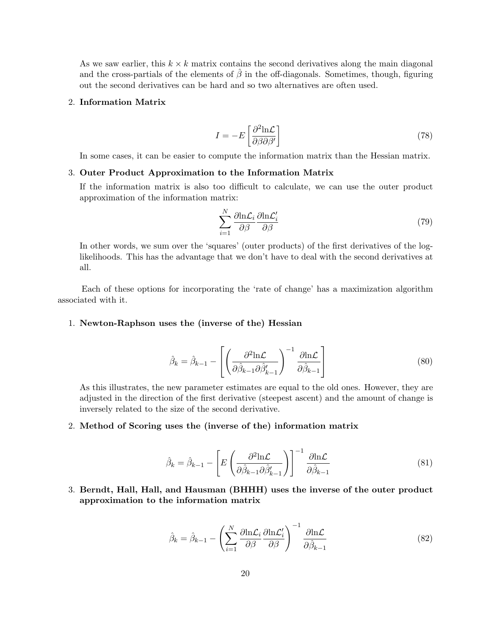As we saw earlier, this  $k \times k$  matrix contains the second derivatives along the main diagonal and the cross-partials of the elements of  $\hat{\beta}$  in the off-diagonals. Sometimes, though, figuring out the second derivatives can be hard and so two alternatives are often used.

## 2. Information Matrix

$$
I = -E \left[ \frac{\partial^2 \text{ln} \mathcal{L}}{\partial \beta \partial \beta'} \right] \tag{78}
$$

In some cases, it can be easier to compute the information matrix than the Hessian matrix.

#### 3. Outer Product Approximation to the Information Matrix

If the information matrix is also too difficult to calculate, we can use the outer product approximation of the information matrix:

$$
\sum_{i=1}^{N} \frac{\partial \text{ln}\mathcal{L}_i}{\partial \beta} \frac{\partial \text{ln}\mathcal{L}'_i}{\partial \beta} \tag{79}
$$

In other words, we sum over the 'squares' (outer products) of the first derivatives of the loglikelihoods. This has the advantage that we don't have to deal with the second derivatives at all.

Each of these options for incorporating the 'rate of change' has a maximization algorithm associated with it.

### 1. Newton-Raphson uses the (inverse of the) Hessian

$$
\hat{\beta}_k = \hat{\beta}_{k-1} - \left[ \left( \frac{\partial^2 \text{ln} \mathcal{L}}{\partial \hat{\beta}_{k-1} \partial \hat{\beta}_{k-1}'} \right)^{-1} \frac{\partial \text{ln} \mathcal{L}}{\partial \hat{\beta}_{k-1}} \right]
$$
(80)

As this illustrates, the new parameter estimates are equal to the old ones. However, they are adjusted in the direction of the first derivative (steepest ascent) and the amount of change is inversely related to the size of the second derivative.

#### 2. Method of Scoring uses the (inverse of the) information matrix

$$
\hat{\beta}_k = \hat{\beta}_{k-1} - \left[ E \left( \frac{\partial^2 \text{ln} \mathcal{L}}{\partial \hat{\beta}_{k-1} \partial \hat{\beta}_{k-1}'} \right) \right]^{-1} \frac{\partial \text{ln} \mathcal{L}}{\partial \hat{\beta}_{k-1}}
$$
(81)

3. Berndt, Hall, Hall, and Hausman (BHHH) uses the inverse of the outer product approximation to the information matrix

$$
\hat{\beta}_k = \hat{\beta}_{k-1} - \left(\sum_{i=1}^N \frac{\partial \text{ln}\mathcal{L}_i}{\partial \beta} \frac{\partial \text{ln}\mathcal{L}'_i}{\partial \beta}\right)^{-1} \frac{\partial \text{ln}\mathcal{L}}{\partial \hat{\beta}_{k-1}}
$$
(82)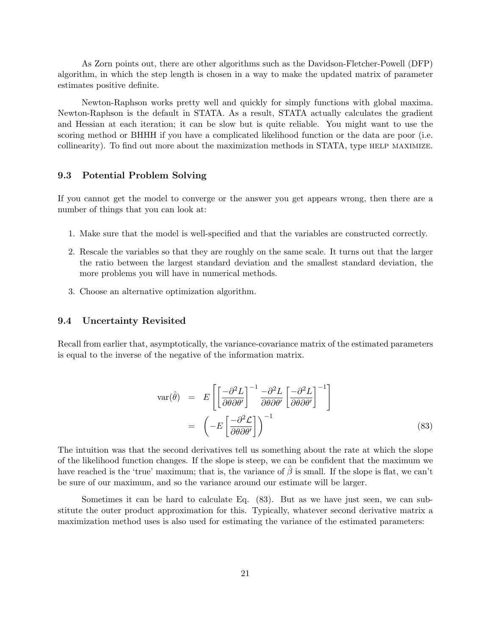As Zorn points out, there are other algorithms such as the Davidson-Fletcher-Powell (DFP) algorithm, in which the step length is chosen in a way to make the updated matrix of parameter estimates positive definite.

Newton-Raphson works pretty well and quickly for simply functions with global maxima. Newton-Raphson is the default in STATA. As a result, STATA actually calculates the gradient and Hessian at each iteration; it can be slow but is quite reliable. You might want to use the scoring method or BHHH if you have a complicated likelihood function or the data are poor (i.e. collinearity). To find out more about the maximization methods in STATA, type help maximize.

## 9.3 Potential Problem Solving

If you cannot get the model to converge or the answer you get appears wrong, then there are a number of things that you can look at:

- 1. Make sure that the model is well-specified and that the variables are constructed correctly.
- 2. Rescale the variables so that they are roughly on the same scale. It turns out that the larger the ratio between the largest standard deviation and the smallest standard deviation, the more problems you will have in numerical methods.
- 3. Choose an alternative optimization algorithm.

## 9.4 Uncertainty Revisited

Recall from earlier that, asymptotically, the variance-covariance matrix of the estimated parameters is equal to the inverse of the negative of the information matrix.

$$
\text{var}(\hat{\theta}) = E\left[\left[\frac{-\partial^2 L}{\partial \theta \partial \theta'}\right]^{-1} \frac{-\partial^2 L}{\partial \theta \partial \theta'} \left[\frac{-\partial^2 L}{\partial \theta \partial \theta'}\right]^{-1}\right]
$$

$$
= \left(-E\left[\frac{-\partial^2 \mathcal{L}}{\partial \theta \partial \theta'}\right]\right)^{-1} \tag{83}
$$

The intuition was that the second derivatives tell us something about the rate at which the slope of the likelihood function changes. If the slope is steep, we can be confident that the maximum we have reached is the 'true' maximum; that is, the variance of  $\hat{\beta}$  is small. If the slope is flat, we can't be sure of our maximum, and so the variance around our estimate will be larger.

Sometimes it can be hard to calculate Eq. (83). But as we have just seen, we can substitute the outer product approximation for this. Typically, whatever second derivative matrix a maximization method uses is also used for estimating the variance of the estimated parameters: